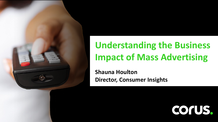

### **Understanding the Business Impact of Mass Advert Impact of Mass Advertising**

**Director Consur Shauna Houlton Director, Consumer Insights**

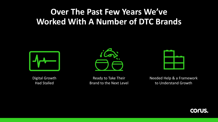## **Over The Past Few Years We've Worked With A Number of DTC Brands**



Digital Growth Had Stalled



Ready to Take Their Brand to the Next Level

Needed Help & a Framework to Understand Growth

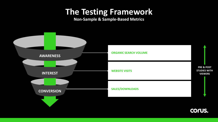### **The Testing Framework**

**Non-Sample & Sample-Based Metrics**

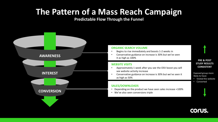## **The Pattern of a Mass Reach Campaign**

#### **Predictable Flow Through the Funnel**

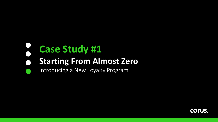### **Case Study #1**  $\bullet$ **Starting From Almost Zero**  $\qquad \qquad \bullet$

Introducing a New Loyalty Program

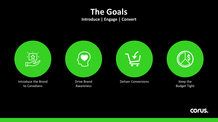## **The Goals**

**Introduce | Engage | Convert**



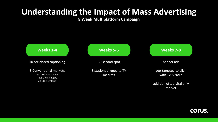## **Understanding the Impact of Mass Advertising**

**8 Week Multiplatform Campaign**



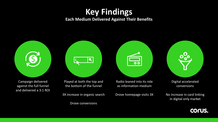### **Key Findings**

#### **Each Medium Delivered Against Their Benefits**



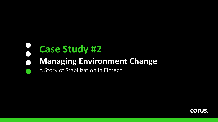### **Case Study #2**  $\bigodot$ **Managing Environment Change**  $\bullet$

### A Story of Stabilization in Fintech

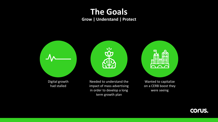## **The Goals**

**Grow | Understand | Protect**



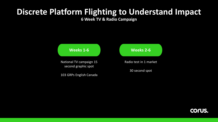## **Discrete Platform Flighting to Understand Impact**

**6 Week TV & Radio Campaign**



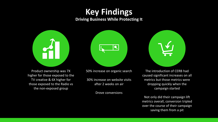### **Key Findings**

**Driving Business While Protecting It**



Product ownership was 7X higher for those exposed to the TV creative & 6X higher for those exposed to the Radio vs the non-exposed group



50% increase on organic search

30% increase on website visits after 2 weeks on air

Drove conversions



The introduction of CERB had caused significant increases on all metrics but those metrics were dropping quickly when the campaign started

Not only did their campaign lift metrics overall, conversion tripled over the course of their campaign saving them from a pit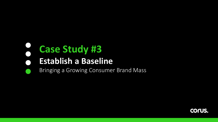#### $\begin{pmatrix} 1 \\ 1 \end{pmatrix}$ **Case Study #3**  $\bigodot$

#### **Establish a Baseline**

### Bringing a Growing Consumer Brand Mass

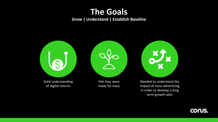### **The Goals Grow | Understand | Establish Baseline**



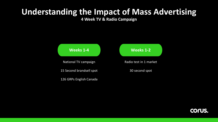## **Understanding the Impact of Mass Advertising**

**4 Week TV & Radio Campaign**



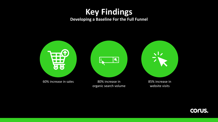### **Key Findings**

#### **Developing a Baseline For the Full Funnel**



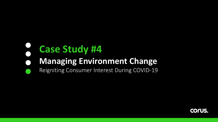### **Case Study #4**  $\bigodot$ **Managing Environment Change**

### Reigniting Consumer Interest During COVID-19

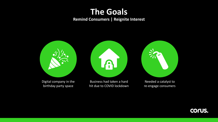## **The Goals**

#### **Remind Consumers | Reignite Interest**



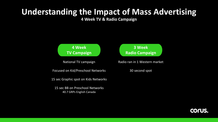## **Understanding the Impact of Mass Advertising**

**4 Week TV & Radio Campaign**

### **4 Week TV Campaign**

National TV campaign

Focused on Kid/Preschool Networks

15 sec Graphic spot on Kids Networks

15 sec BB on Preschool Networks 40.7 GRPs English Canada

### **3 Week Radio Campaign**

Radio ran in 1 Western market

30 second spot

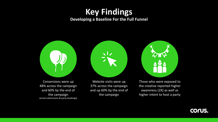### **Key Findings**

#### **Developing a Baseline For the Full Funnel**



Conversions were up 48% across the campaign and 60% by the end of the campaign (email submissions & party bookings)

Website visits were up 37% across the campaign and up 60% by the end of the campaign



Those who were exposed to the creative reported higher awareness (2X) as well as higher intent to host a party